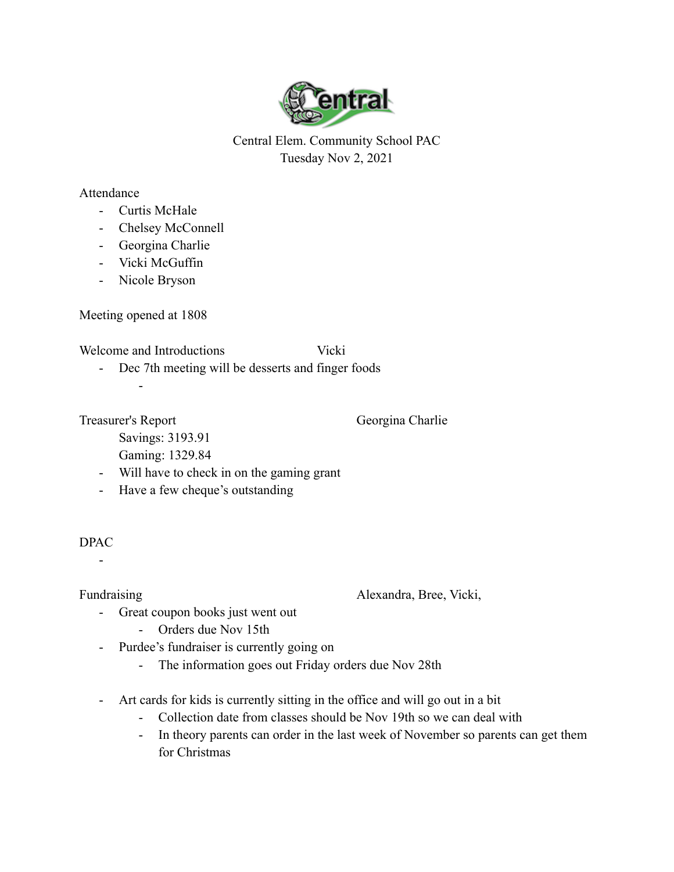

Central Elem. Community School PAC Tuesday Nov 2, 2021

## Attendance

- Curtis McHale
- Chelsey McConnell
- Georgina Charlie
- Vicki McGuffin
- Nicole Bryson

Meeting opened at 1808

-

Welcome and Introductions Vicki

- Dec 7th meeting will be desserts and finger foods

Treasurer's Report Georgina Charlie

Savings: 3193.91

- Gaming: 1329.84
- Will have to check in on the gaming grant
- Have a few cheque's outstanding

## DPAC

-

Fundraising Alexandra, Bree, Vicki,

- Great coupon books just went out
	- Orders due Nov 15th
- Purdee's fundraiser is currently going on
	- The information goes out Friday orders due Nov 28th
- Art cards for kids is currently sitting in the office and will go out in a bit
	- Collection date from classes should be Nov 19th so we can deal with
	- In theory parents can order in the last week of November so parents can get them for Christmas